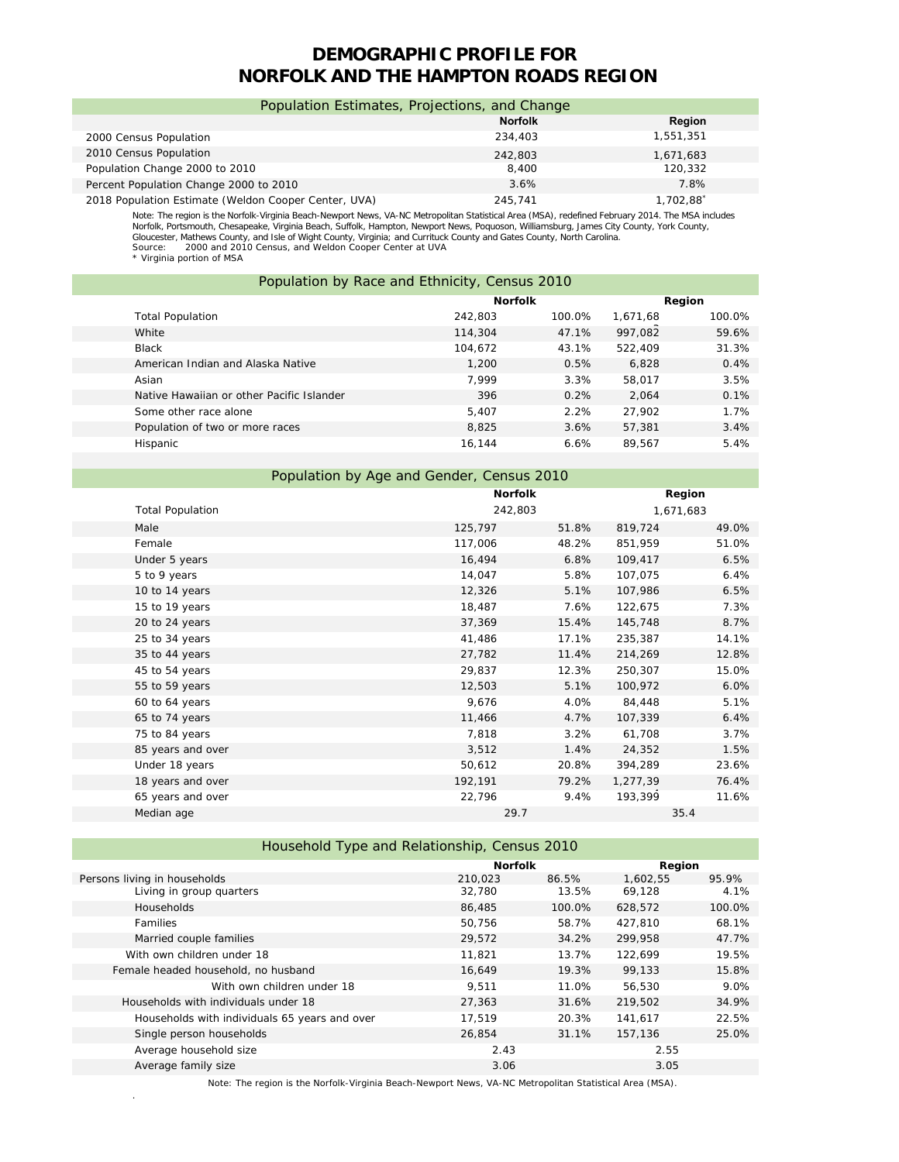## **DEMOGRAPHIC PROFILE FOR NORFOLK AND THE HAMPTON ROADS REGION**

| Population Estimates, Projections, and Change        |                |           |
|------------------------------------------------------|----------------|-----------|
|                                                      | <b>Norfolk</b> | Region    |
| 2000 Census Population                               | 234,403        | 1.551.351 |
| 2010 Census Population                               | 242.803        | 1.671.683 |
| Population Change 2000 to 2010                       | 8.400          | 120,332   |
| Percent Population Change 2000 to 2010               | 3.6%           | 7.8%      |
| 2018 Population Estimate (Weldon Cooper Center, UVA) | 245.741        | 1.702.88* |

Note: The region is the Norfolk-Virginia Beach-Newport News, VA-NC Metropolitan Statistical Area (MSA), redefined February 2014. The MSA includes<br>Norfolk, Portsmouth, Chesapeake, Virginia Beach, Suffolk, Hampton, Newport N

\* Virginia portion of MSA

.

| Population by Race and Ethnicity, Census 2010 |        |                |        |  |  |  |
|-----------------------------------------------|--------|----------------|--------|--|--|--|
|                                               |        |                | Region |  |  |  |
| 242.803                                       | 100.0% | 1.671.68       | 100.0% |  |  |  |
| 114,304                                       | 47.1%  | 997.082        | 59.6%  |  |  |  |
| 104.672                                       | 43.1%  | 522.409        | 31.3%  |  |  |  |
| 1.200                                         | 0.5%   | 6,828          | 0.4%   |  |  |  |
| 7.999                                         | 3.3%   | 58.017         | 3.5%   |  |  |  |
| 396                                           | 0.2%   | 2.064          | 0.1%   |  |  |  |
| 5.407                                         | 2.2%   | 27.902         | 1.7%   |  |  |  |
| 8.825                                         | 3.6%   | 57.381         | 3.4%   |  |  |  |
| 16.144                                        | 6.6%   | 89.567         | 5.4%   |  |  |  |
|                                               |        | <b>Norfolk</b> |        |  |  |  |

|         |       |                                                                                | Region    |
|---------|-------|--------------------------------------------------------------------------------|-----------|
|         |       |                                                                                | 1,671,683 |
| 125,797 | 51.8% | 819,724                                                                        | 49.0%     |
| 117,006 | 48.2% | 851,959                                                                        | 51.0%     |
| 16,494  | 6.8%  | 109,417                                                                        | 6.5%      |
| 14,047  | 5.8%  | 107,075                                                                        | 6.4%      |
| 12,326  | 5.1%  | 107,986                                                                        | 6.5%      |
| 18,487  | 7.6%  | 122,675                                                                        | 7.3%      |
| 37,369  | 15.4% | 145,748                                                                        | 8.7%      |
| 41,486  | 17.1% | 235,387                                                                        | 14.1%     |
| 27,782  | 11.4% | 214,269                                                                        | 12.8%     |
| 29,837  | 12.3% | 250,307                                                                        | 15.0%     |
| 12,503  | 5.1%  | 100,972                                                                        | 6.0%      |
| 9,676   | 4.0%  | 84,448                                                                         | 5.1%      |
| 11,466  | 4.7%  | 107,339                                                                        | 6.4%      |
| 7,818   | 3.2%  | 61,708                                                                         | 3.7%      |
| 3,512   | 1.4%  | 24,352                                                                         | 1.5%      |
| 50,612  | 20.8% | 394,289                                                                        | 23.6%     |
| 192,191 | 79.2% | 1,277,39                                                                       | 76.4%     |
| 22,796  | 9.4%  | 193,399                                                                        | 11.6%     |
|         |       |                                                                                | 35.4      |
|         |       | Population by Age and Gender, Census 2010<br><b>Norfolk</b><br>242,803<br>29.7 |           |

## Household Type and Relationship, Census 2010

|                                               | <b>Norfolk</b> |        | Region   |        |
|-----------------------------------------------|----------------|--------|----------|--------|
| Persons living in households                  | 210,023        | 86.5%  | 1,602,55 | 95.9%  |
| Living in group quarters                      | 32,780         | 13.5%  | 69,128   | 4.1%   |
| Households                                    | 86,485         | 100.0% | 628,572  | 100.0% |
| Families                                      | 50,756         | 58.7%  | 427,810  | 68.1%  |
| Married couple families                       | 29,572         | 34.2%  | 299,958  | 47.7%  |
| With own children under 18                    | 11,821         | 13.7%  | 122,699  | 19.5%  |
| Female headed household, no husband           | 16,649         | 19.3%  | 99,133   | 15.8%  |
| With own children under 18                    | 9.511          | 11.0%  | 56,530   | 9.0%   |
| Households with individuals under 18          | 27,363         | 31.6%  | 219,502  | 34.9%  |
| Households with individuals 65 years and over | 17.519         | 20.3%  | 141,617  | 22.5%  |
| Single person households                      | 26,854         | 31.1%  | 157.136  | 25.0%  |
| Average household size                        | 2.43           |        | 2.55     |        |
| Average family size                           | 3.06           |        | 3.05     |        |

Note: The region is the Norfolk-Virginia Beach-Newport News, VA-NC Metropolitan Statistical Area (MSA).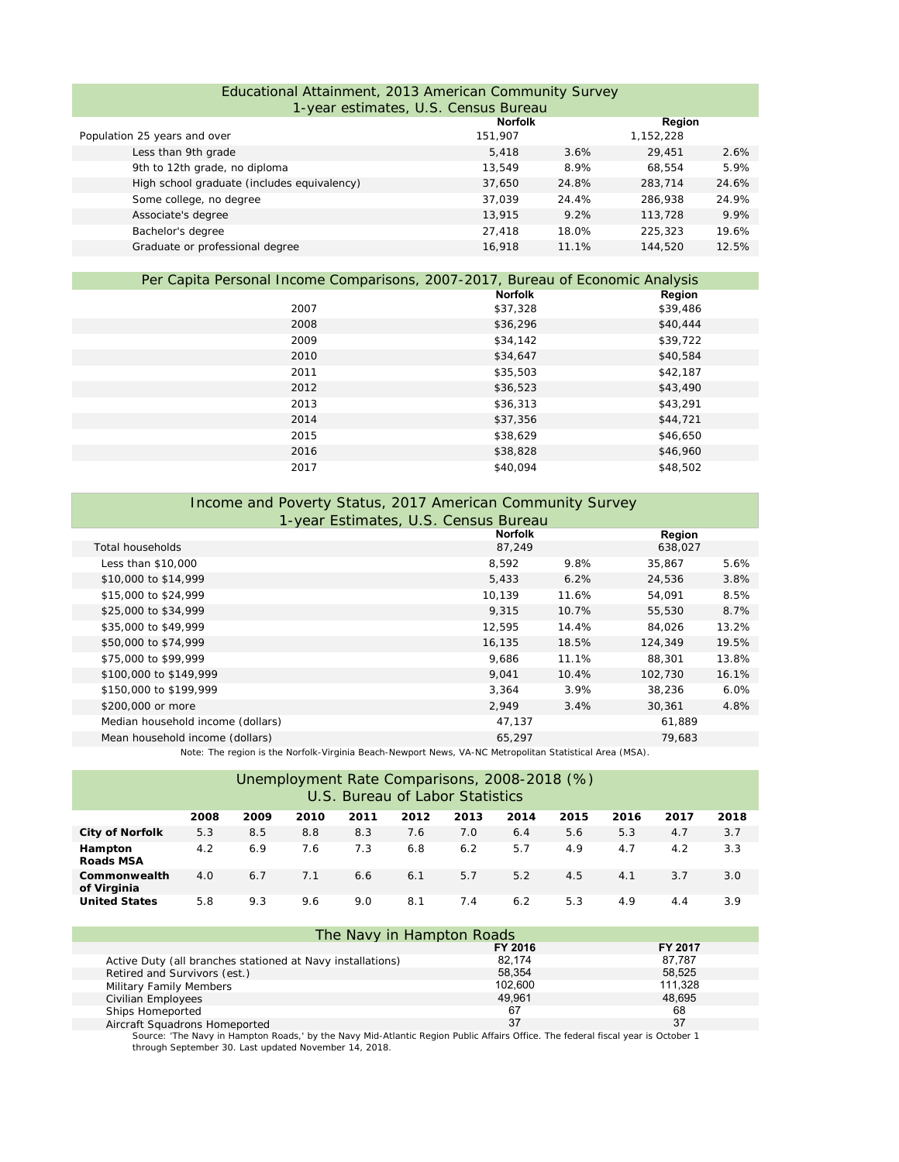| Educational Attainment, 2013 American Community Survey |                |       |           |       |
|--------------------------------------------------------|----------------|-------|-----------|-------|
| 1-year estimates, U.S. Census Bureau                   |                |       |           |       |
|                                                        | <b>Norfolk</b> |       | Region    |       |
| Population 25 years and over                           | 151,907        |       | 1,152,228 |       |
| Less than 9th grade                                    | 5,418          | 3.6%  | 29.451    | 2.6%  |
| 9th to 12th grade, no diploma                          | 13,549         | 8.9%  | 68.554    | 5.9%  |
| High school graduate (includes equivalency)            | 37.650         | 24.8% | 283,714   | 24.6% |
| Some college, no degree                                | 37.039         | 24.4% | 286,938   | 24.9% |
| Associate's degree                                     | 13,915         | 9.2%  | 113,728   | 9.9%  |
| Bachelor's degree                                      | 27.418         | 18.0% | 225,323   | 19.6% |
| Graduate or professional degree                        | 16,918         | 11.1% | 144.520   | 12.5% |

|      | Per Capita Personal Income Comparisons, 2007-2017, Bureau of Economic Analysis |          |
|------|--------------------------------------------------------------------------------|----------|
|      | <b>Norfolk</b>                                                                 | Region   |
| 2007 | \$37,328                                                                       | \$39,486 |
| 2008 | \$36,296                                                                       | \$40,444 |
| 2009 | \$34,142                                                                       | \$39,722 |
| 2010 | \$34,647                                                                       | \$40,584 |
| 2011 | \$35,503                                                                       | \$42,187 |
| 2012 | \$36,523                                                                       | \$43,490 |
| 2013 | \$36,313                                                                       | \$43,291 |
| 2014 | \$37,356                                                                       | \$44,721 |
| 2015 | \$38,629                                                                       | \$46,650 |
| 2016 | \$38,828                                                                       | \$46,960 |
| 2017 | \$40.094                                                                       | \$48,502 |

| Income and Poverty Status, 2017 American Community Survey |                |       |         |       |  |  |
|-----------------------------------------------------------|----------------|-------|---------|-------|--|--|
| 1-year Estimates, U.S. Census Bureau                      |                |       |         |       |  |  |
|                                                           | <b>Norfolk</b> |       | Region  |       |  |  |
| Total households                                          | 87,249         |       | 638.027 |       |  |  |
| Less than \$10,000                                        | 8,592          | 9.8%  | 35,867  | 5.6%  |  |  |
| \$10,000 to \$14,999                                      | 5,433          | 6.2%  | 24,536  | 3.8%  |  |  |
| \$15,000 to \$24,999                                      | 10,139         | 11.6% | 54,091  | 8.5%  |  |  |
| \$25,000 to \$34,999                                      | 9.315          | 10.7% | 55,530  | 8.7%  |  |  |
| \$35,000 to \$49,999                                      | 12.595         | 14.4% | 84,026  | 13.2% |  |  |
| \$50,000 to \$74,999                                      | 16,135         | 18.5% | 124,349 | 19.5% |  |  |
| \$75,000 to \$99,999                                      | 9,686          | 11.1% | 88,301  | 13.8% |  |  |
| \$100,000 to \$149,999                                    | 9,041          | 10.4% | 102,730 | 16.1% |  |  |
| \$150,000 to \$199,999                                    | 3,364          | 3.9%  | 38,236  | 6.0%  |  |  |
| \$200,000 or more                                         | 2,949          | 3.4%  | 30,361  | 4.8%  |  |  |
| Median household income (dollars)                         | 47,137         |       | 61,889  |       |  |  |
| Mean household income (dollars)                           | 65,297         |       | 79,683  |       |  |  |
|                                                           |                |       |         |       |  |  |

Note: The region is the Norfolk-Virginia Beach-Newport News, VA-NC Metropolitan Statistical Area (MSA).

| Unemployment Rate Comparisons, 2008-2018 (%)<br>U.S. Bureau of Labor Statistics |      |      |      |      |      |      |      |      |      |      |      |
|---------------------------------------------------------------------------------|------|------|------|------|------|------|------|------|------|------|------|
|                                                                                 | 2008 | 2009 | 2010 | 2011 | 2012 | 2013 | 2014 | 2015 | 2016 | 2017 | 2018 |
| <b>City of Norfolk</b>                                                          | 5.3  | 8.5  | 8.8  | 8.3  | 7.6  | 7.0  | 6.4  | 5.6  | 5.3  | 4.7  | 3.7  |
| Hampton<br><b>Roads MSA</b>                                                     | 4.2  | 6.9  | 7.6  | 7.3  | 6.8  | 6.2  | 5.7  | 4.9  | 4.7  | 4.2  | 3.3  |
| Commonwealth<br>of Virginia                                                     | 4.0  | 6.7  | 7.1  | 6.6  | 6.1  | 5.7  | 5.2  | 4.5  | 4.1  | 3.7  | 3.0  |
| <b>United States</b>                                                            | 5.8  | 9.3  | 9.6  | 9.0  | 8.1  | 7.4  | 6.2  | 5.3  | 4.9  | 4.4  | 3.9  |

| The Navy in Hampton Roads                                  |         |         |  |  |  |
|------------------------------------------------------------|---------|---------|--|--|--|
|                                                            | FY 2016 | FY 2017 |  |  |  |
| Active Duty (all branches stationed at Navy installations) | 82.174  | 87.787  |  |  |  |
| Retired and Survivors (est.)                               | 58.354  | 58.525  |  |  |  |
| Military Family Members                                    | 102.600 | 111.328 |  |  |  |
| Civilian Employees                                         | 49.961  | 48.695  |  |  |  |
| Ships Homeported                                           | 67      | 68      |  |  |  |
| Aircraft Squadrons Homeported                              | 37      | 37      |  |  |  |

Aircraft Squadrons Homeported 37 37 Source: 'The Navy in Hampton Roads,' by the Navy Mid-Atlantic Region Public Affairs Office. The federal fiscal year is October 1 through September 30. Last updated November 14, 2018.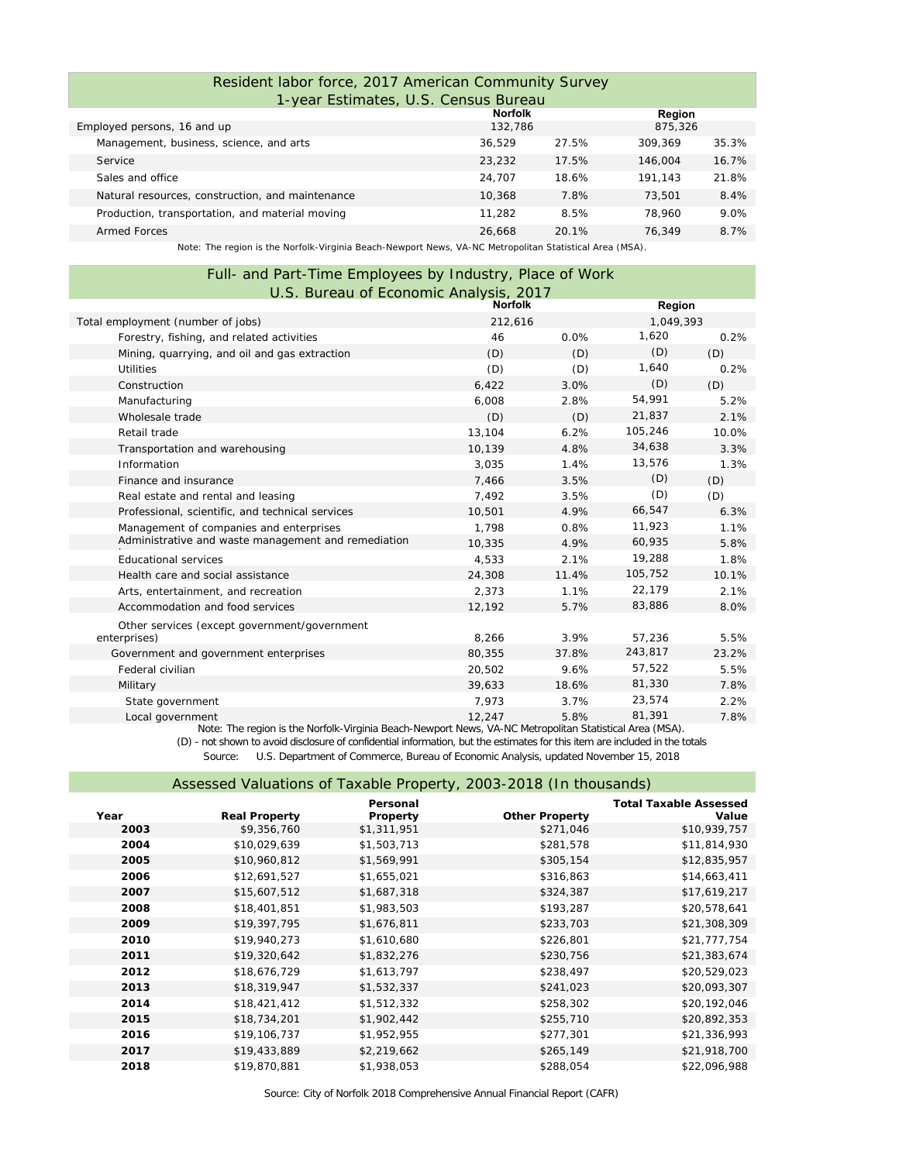| Resident labor force, 2017 American Community Survey |                |       |         |       |  |  |
|------------------------------------------------------|----------------|-------|---------|-------|--|--|
| 1-year Estimates, U.S. Census Bureau                 |                |       |         |       |  |  |
|                                                      | <b>Norfolk</b> |       | Region  |       |  |  |
| Employed persons, 16 and up                          | 132,786        |       | 875,326 |       |  |  |
| Management, business, science, and arts              | 36,529         | 27.5% | 309.369 | 35.3% |  |  |
| Service                                              | 23,232         | 17.5% | 146.004 | 16.7% |  |  |
| Sales and office                                     | 24,707         | 18.6% | 191.143 | 21.8% |  |  |
| Natural resources, construction, and maintenance     | 10.368         | 7.8%  | 73.501  | 8.4%  |  |  |
| Production, transportation, and material moving      | 11.282         | 8.5%  | 78.960  | 9.0%  |  |  |
| <b>Armed Forces</b>                                  | 26.668         | 20.1% | 76.349  | 8.7%  |  |  |

Note: The region is the Norfolk-Virginia Beach-Newport News, VA-NC Metropolitan Statistical Area (MSA).

## Full- and Part-Time Employees by Industry, Place of Work U.S. Bureau of Economic Analysis, 2017

|                                                                                                         | <b>Norfolk</b> |       | Region    |       |  |
|---------------------------------------------------------------------------------------------------------|----------------|-------|-----------|-------|--|
| Total employment (number of jobs)                                                                       | 212,616        |       | 1,049,393 |       |  |
| Forestry, fishing, and related activities                                                               | 46             | 0.0%  | 1,620     | 0.2%  |  |
| Mining, quarrying, and oil and gas extraction                                                           | (D)            | (D)   | (D)       | (D)   |  |
| <b>Utilities</b>                                                                                        | (D)            | (D)   | 1,640     | 0.2%  |  |
| Construction                                                                                            | 6,422          | 3.0%  | (D)       | (D)   |  |
| Manufacturing                                                                                           | 6,008          | 2.8%  | 54,991    | 5.2%  |  |
| Wholesale trade                                                                                         | (D)            | (D)   | 21,837    | 2.1%  |  |
| Retail trade                                                                                            | 13,104         | 6.2%  | 105,246   | 10.0% |  |
| Transportation and warehousing                                                                          | 10,139         | 4.8%  | 34,638    | 3.3%  |  |
| Information                                                                                             | 3.035          | 1.4%  | 13,576    | 1.3%  |  |
| Finance and insurance                                                                                   | 7.466          | 3.5%  | (D)       | (D)   |  |
| Real estate and rental and leasing                                                                      | 7.492          | 3.5%  | (D)       | (D)   |  |
| Professional, scientific, and technical services                                                        | 10,501         | 4.9%  | 66,547    | 6.3%  |  |
| Management of companies and enterprises                                                                 | 1.798          | 0.8%  | 11,923    | 1.1%  |  |
| Administrative and waste management and remediation                                                     | 10,335         | 4.9%  | 60,935    | 5.8%  |  |
| <b>Educational services</b>                                                                             | 4.533          | 2.1%  | 19,288    | 1.8%  |  |
| Health care and social assistance                                                                       | 24.308         | 11.4% | 105,752   | 10.1% |  |
| Arts, entertainment, and recreation                                                                     | 2.373          | 1.1%  | 22,179    | 2.1%  |  |
| Accommodation and food services                                                                         | 12,192         | 5.7%  | 83,886    | 8.0%  |  |
| Other services (except government/government                                                            |                |       |           |       |  |
| enterprises)                                                                                            | 8,266          | 3.9%  | 57,236    | 5.5%  |  |
| Government and government enterprises                                                                   | 80,355         | 37.8% | 243,817   | 23.2% |  |
| Federal civilian                                                                                        | 20,502         | 9.6%  | 57,522    | 5.5%  |  |
| Military                                                                                                | 39.633         | 18.6% | 81,330    | 7.8%  |  |
| State government                                                                                        | 7.973          | 3.7%  | 23,574    | 2.2%  |  |
| Local government                                                                                        | 12.247         | 5.8%  | 81,391    | 7.8%  |  |
| Note: The region is the Norfolk-Virginia Beach-Newport News, VA-NC Metropolitan Statistical Area (MSA). |                |       |           |       |  |

(D) - not shown to avoid disclosure of confidential information, but the estimates for this item are included in the totals

Source: U.S. Department of Commerce, Bureau of Economic Analysis, updated November 15, 2018

|      | Assessed Valuations of Taxable Property, 2003-2018 (In thousands) |             |                       |                                        |
|------|-------------------------------------------------------------------|-------------|-----------------------|----------------------------------------|
| Year |                                                                   | Personal    |                       | <b>Total Taxable Assessed</b><br>Value |
|      | <b>Real Property</b>                                              | Property    | <b>Other Property</b> |                                        |
| 2003 | \$9,356,760                                                       | \$1,311,951 | \$271,046             | \$10,939,757                           |
| 2004 | \$10,029,639                                                      | \$1,503,713 | \$281,578             | \$11,814,930                           |
| 2005 | \$10,960,812                                                      | \$1,569,991 | \$305,154             | \$12,835,957                           |
| 2006 | \$12,691,527                                                      | \$1,655,021 | \$316,863             | \$14,663,411                           |
| 2007 | \$15,607,512                                                      | \$1,687,318 | \$324,387             | \$17,619,217                           |
| 2008 | \$18,401,851                                                      | \$1,983,503 | \$193,287             | \$20,578,641                           |
| 2009 | \$19,397,795                                                      | \$1,676,811 | \$233,703             | \$21,308,309                           |
| 2010 | \$19,940,273                                                      | \$1,610,680 | \$226,801             | \$21,777,754                           |
| 2011 | \$19,320,642                                                      | \$1,832,276 | \$230,756             | \$21,383,674                           |
| 2012 | \$18,676,729                                                      | \$1,613,797 | \$238,497             | \$20,529,023                           |
| 2013 | \$18,319,947                                                      | \$1,532,337 | \$241,023             | \$20,093,307                           |
| 2014 | \$18,421,412                                                      | \$1,512,332 | \$258,302             | \$20,192,046                           |
| 2015 | \$18,734,201                                                      | \$1,902,442 | \$255,710             | \$20,892,353                           |
| 2016 | \$19,106,737                                                      | \$1,952,955 | \$277,301             | \$21,336,993                           |
| 2017 | \$19,433,889                                                      | \$2,219,662 | \$265,149             | \$21,918,700                           |
| 2018 | \$19,870,881                                                      | \$1,938,053 | \$288,054             | \$22,096,988                           |

Source: City of Norfolk 2018 Comprehensive Annual Financial Report (CAFR)